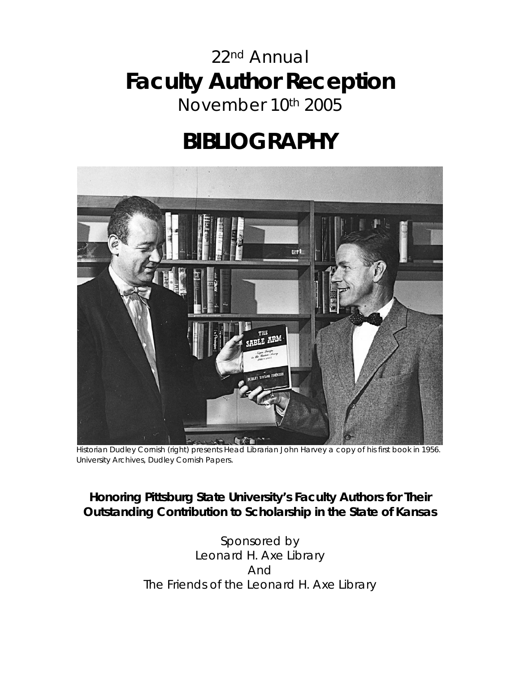## 22nd Annual **Faculty Author Reception**  November 10th 2005

# **BIBLIOGRAPHY**



Historian Dudley Cornish (right) presents Head Librarian John Harvey a copy of his first book in 1956. *University Archives, Dudley Cornish Papers.*

#### **Honoring Pittsburg State University's Faculty Authors for Their Outstanding Contribution to Scholarship in the State of Kansas**

Sponsored by Leonard H. Axe Library And The Friends of the Leonard H. Axe Library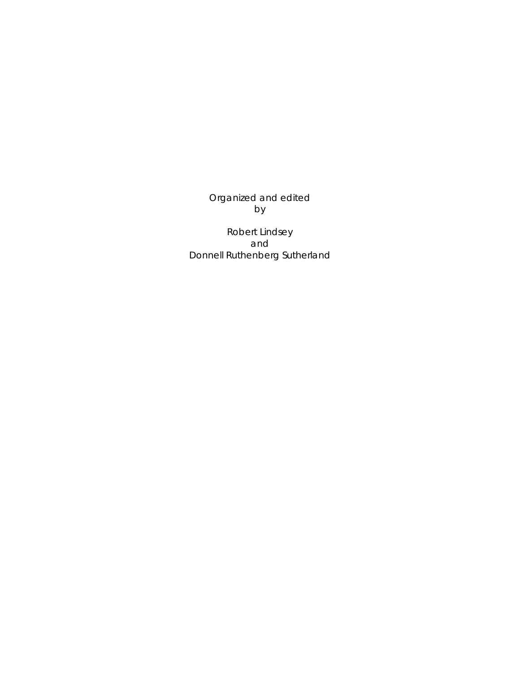Organized and edited by

Robert Lindsey and Donnell Ruthenberg Sutherland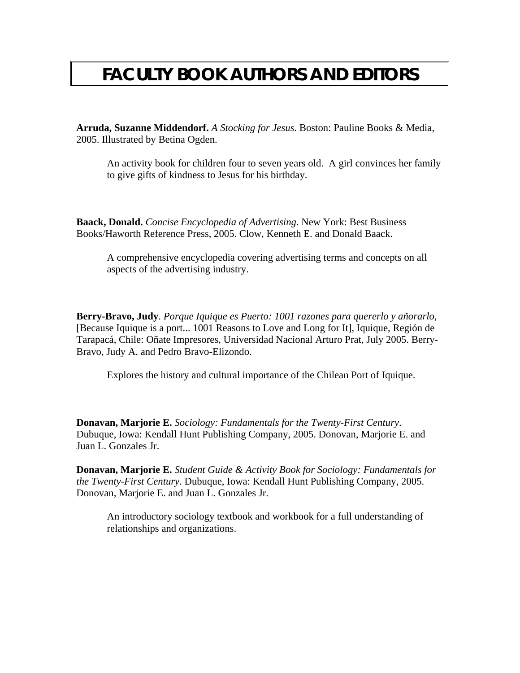### **FACULTY BOOK AUTHORS AND EDITORS**

**Arruda, Suzanne Middendorf.** *A Stocking for Jesus*. Boston: Pauline Books & Media, 2005. Illustrated by Betina Ogden.

An activity book for children four to seven years old. A girl convinces her family to give gifts of kindness to Jesus for his birthday.

**Baack, Donald.** *Concise Encyclopedia of Advertising*. New York: Best Business Books/Haworth Reference Press, 2005. Clow, Kenneth E. and Donald Baack.

A comprehensive encyclopedia covering advertising terms and concepts on all aspects of the advertising industry.

**Berry-Bravo, Judy**. *Porque Iquique es Puerto: 1001 razones para quererlo y añorarlo*, [Because Iquique is a port... 1001 Reasons to Love and Long for It], Iquique, Región de Tarapacá, Chile: Oñate Impresores, Universidad Nacional Arturo Prat, July 2005. Berry-Bravo, Judy A. and Pedro Bravo-Elizondo.

Explores the history and cultural importance of the Chilean Port of Iquique.

**Donavan, Marjorie E.** *Sociology: Fundamentals for the Twenty-First Century*. Dubuque, Iowa: Kendall Hunt Publishing Company, 2005. Donovan, Marjorie E. and Juan L. Gonzales Jr.

**Donavan, Marjorie E.** *Student Guide & Activity Book for Sociology: Fundamentals for the Twenty-First Century*. Dubuque, Iowa: Kendall Hunt Publishing Company, 2005. Donovan, Marjorie E. and Juan L. Gonzales Jr.

An introductory sociology textbook and workbook for a full understanding of relationships and organizations.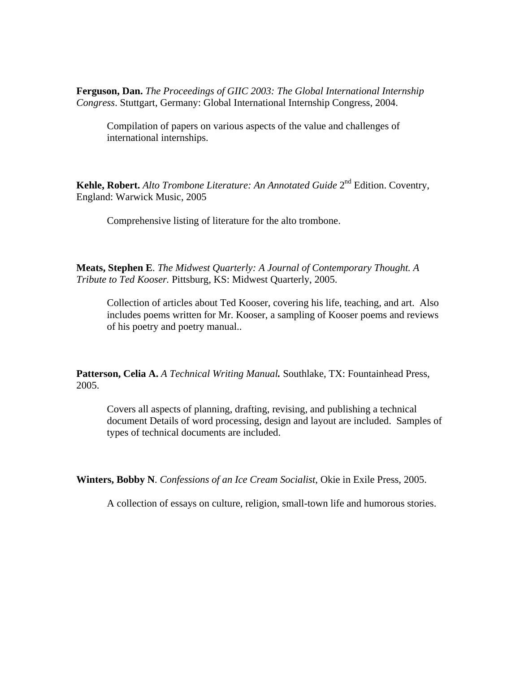**Ferguson, Dan.** *The Proceedings of GIIC 2003: The Global International Internship Congress*. Stuttgart, Germany: Global International Internship Congress, 2004.

Compilation of papers on various aspects of the value and challenges of international internships.

**Kehle, Robert.** *Alto Trombone Literature: An Annotated Guide* 2<sup>nd</sup> Edition. Coventry, England: Warwick Music, 2005

Comprehensive listing of literature for the alto trombone.

**Meats, Stephen E**. *The Midwest Quarterly: A Journal of Contemporary Thought. A Tribute to Ted Kooser.* Pittsburg, KS: Midwest Quarterly, 2005.

Collection of articles about Ted Kooser, covering his life, teaching, and art. Also includes poems written for Mr. Kooser, a sampling of Kooser poems and reviews of his poetry and poetry manual..

**Patterson, Celia A.** *A Technical Writing Manual.* Southlake, TX: Fountainhead Press, 2005.

Covers all aspects of planning, drafting, revising, and publishing a technical document Details of word processing, design and layout are included. Samples of types of technical documents are included.

**Winters, Bobby N**. *Confessions of an Ice Cream Socialist*, Okie in Exile Press, 2005.

A collection of essays on culture, religion, small-town life and humorous stories.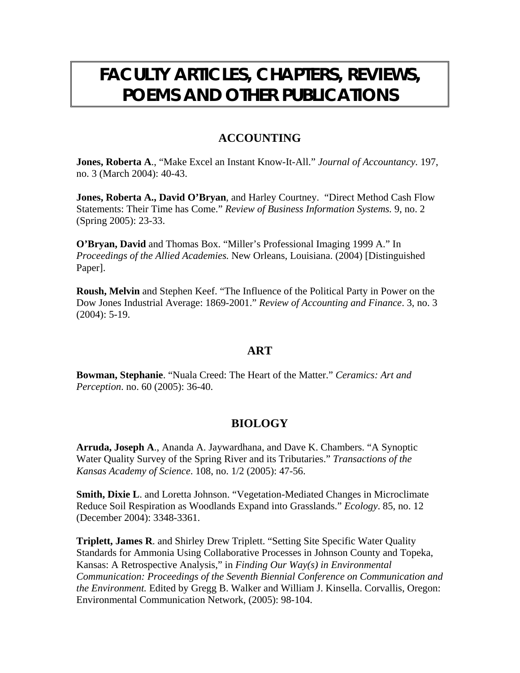### **FACULTY ARTICLES, CHAPTERS, REVIEWS, POEMS AND OTHER PUBLICATIONS**

#### **ACCOUNTING**

**Jones, Roberta A**., "Make Excel an Instant Know-It-All." *Journal of Accountancy.* 197, no. 3 (March 2004): 40-43.

**Jones, Roberta A., David O'Bryan**, and Harley Courtney. "Direct Method Cash Flow Statements: Their Time has Come." *Review of Business Information Systems.* 9, no. 2 (Spring 2005): 23-33.

**O'Bryan, David** and Thomas Box. "Miller's Professional Imaging 1999 A." In *Proceedings of the Allied Academies.* New Orleans, Louisiana. (2004) [Distinguished Paper].

**Roush, Melvin** and Stephen Keef. "The Influence of the Political Party in Power on the Dow Jones Industrial Average: 1869-2001." *Review of Accounting and Finance*. 3, no. 3 (2004): 5-19.

#### **ART**

**Bowman, Stephanie**. "Nuala Creed: The Heart of the Matter." *Ceramics: Art and Perception*. no. 60 (2005): 36-40.

#### **BIOLOGY**

**Arruda, Joseph A**., Ananda A. Jaywardhana, and Dave K. Chambers. "A Synoptic Water Quality Survey of the Spring River and its Tributaries." *Transactions of the Kansas Academy of Science*. 108, no. 1/2 (2005): 47-56.

**Smith, Dixie L**. and Loretta Johnson. "Vegetation-Mediated Changes in Microclimate Reduce Soil Respiration as Woodlands Expand into Grasslands." *Ecology*. 85, no. 12 (December 2004): 3348-3361.

**Triplett, James R**. and Shirley Drew Triplett. "Setting Site Specific Water Quality Standards for Ammonia Using Collaborative Processes in Johnson County and Topeka, Kansas: A Retrospective Analysis," in *Finding Our Way(s) in Environmental Communication: Proceedings of the Seventh Biennial Conference on Communication and the Environment.* Edited by Gregg B. Walker and William J. Kinsella. Corvallis, Oregon: Environmental Communication Network, (2005): 98-104.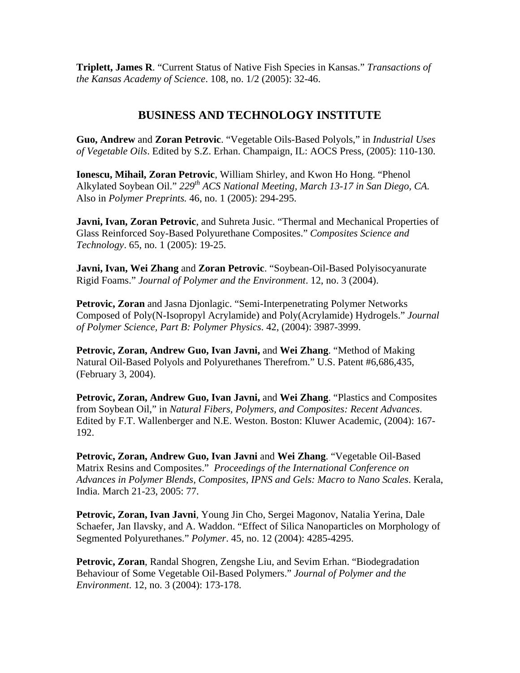**Triplett, James R**. "Current Status of Native Fish Species in Kansas." *Transactions of the Kansas Academy of Science*. 108, no. 1/2 (2005): 32-46.

#### **BUSINESS AND TECHNOLOGY INSTITUTE**

**Guo, Andrew** and **Zoran Petrovic**. "Vegetable Oils-Based Polyols," in *Industrial Uses of Vegetable Oils*. Edited by S.Z. Erhan. Champaign, IL: AOCS Press, (2005): 110-130.

**Ionescu, Mihail, Zoran Petrovic**, William Shirley, and Kwon Ho Hong. "Phenol Alkylated Soybean Oil." *229th ACS National Meeting, March 13-17 in San Diego, CA.* Also in *Polymer Preprints.* 46, no. 1 (2005): 294-295.

**Javni, Ivan, Zoran Petrovic**, and Suhreta Jusic. "Thermal and Mechanical Properties of Glass Reinforced Soy-Based Polyurethane Composites." *Composites Science and Technology*. 65, no. 1 (2005): 19-25.

**Javni, Ivan, Wei Zhang** and **Zoran Petrovic**. "Soybean-Oil-Based Polyisocyanurate Rigid Foams." *Journal of Polymer and the Environment*. 12, no. 3 (2004).

**Petrovic, Zoran** and Jasna Djonlagic. "Semi-Interpenetrating Polymer Networks Composed of Poly(N-Isopropyl Acrylamide) and Poly(Acrylamide) Hydrogels." *Journal of Polymer Science, Part B: Polymer Physics*. 42, (2004): 3987-3999.

**Petrovic, Zoran, Andrew Guo, Ivan Javni,** and **Wei Zhang**. "Method of Making Natural Oil-Based Polyols and Polyurethanes Therefrom." U.S. Patent #6,686,435, (February 3, 2004).

**Petrovic, Zoran, Andrew Guo, Ivan Javni,** and **Wei Zhang**. "Plastics and Composites from Soybean Oil," in *Natural Fibers, Polymers, and Composites: Recent Advances*. Edited by F.T. Wallenberger and N.E. Weston. Boston: Kluwer Academic, (2004): 167- 192.

**Petrovic, Zoran, Andrew Guo, Ivan Javni** and **Wei Zhang**. "Vegetable Oil-Based Matrix Resins and Composites." *Proceedings of the International Conference on Advances in Polymer Blends, Composites, IPNS and Gels: Macro to Nano Scales*. Kerala, India. March 21-23, 2005: 77.

**Petrovic, Zoran, Ivan Javni**, Young Jin Cho, Sergei Magonov, Natalia Yerina, Dale Schaefer, Jan Ilavsky, and A. Waddon. "Effect of Silica Nanoparticles on Morphology of Segmented Polyurethanes." *Polymer*. 45, no. 12 (2004): 4285-4295.

**Petrovic, Zoran**, Randal Shogren, Zengshe Liu, and Sevim Erhan. "Biodegradation Behaviour of Some Vegetable Oil-Based Polymers." *Journal of Polymer and the Environment*. 12, no. 3 (2004): 173-178.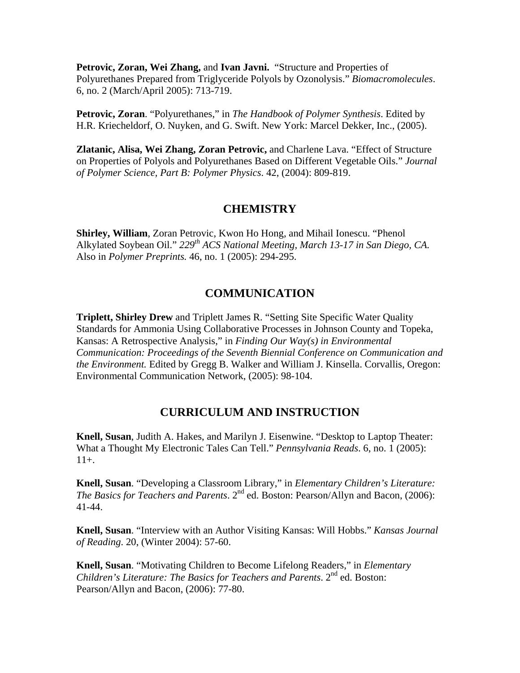**Petrovic, Zoran, Wei Zhang,** and **Ivan Javni.** "Structure and Properties of Polyurethanes Prepared from Triglyceride Polyols by Ozonolysis." *Biomacromolecules*. 6, no. 2 (March/April 2005): 713-719.

**Petrovic, Zoran**. "Polyurethanes," in *The Handbook of Polymer Synthesis*. Edited by H.R. Kriecheldorf, O. Nuyken, and G. Swift. New York: Marcel Dekker, Inc., (2005).

**Zlatanic, Alisa, Wei Zhang, Zoran Petrovic,** and Charlene Lava. "Effect of Structure on Properties of Polyols and Polyurethanes Based on Different Vegetable Oils." *Journal of Polymer Science, Part B: Polymer Physics*. 42, (2004): 809-819.

#### **CHEMISTRY**

**Shirley, William**, Zoran Petrovic, Kwon Ho Hong, and Mihail Ionescu. "Phenol Alkylated Soybean Oil." *229th ACS National Meeting, March 13-17 in San Diego, CA.* Also in *Polymer Preprints.* 46, no. 1 (2005): 294-295.

#### **COMMUNICATION**

**Triplett, Shirley Drew** and Triplett James R. "Setting Site Specific Water Quality Standards for Ammonia Using Collaborative Processes in Johnson County and Topeka, Kansas: A Retrospective Analysis," in *Finding Our Way(s) in Environmental Communication: Proceedings of the Seventh Biennial Conference on Communication and the Environment.* Edited by Gregg B. Walker and William J. Kinsella. Corvallis, Oregon: Environmental Communication Network, (2005): 98-104.

#### **CURRICULUM AND INSTRUCTION**

**Knell, Susan**, Judith A. Hakes, and Marilyn J. Eisenwine. "Desktop to Laptop Theater: What a Thought My Electronic Tales Can Tell." *Pennsylvania Reads*. 6, no. 1 (2005):  $11_{+}$ .

**Knell, Susan**. "Developing a Classroom Library," in *Elementary Children's Literature: The Basics for Teachers and Parents*. 2<sup>nd</sup> ed. Boston: Pearson/Allyn and Bacon, (2006): 41-44.

**Knell, Susan**. "Interview with an Author Visiting Kansas: Will Hobbs." *Kansas Journal of Reading*. 20, (Winter 2004): 57-60.

**Knell, Susan**. "Motivating Children to Become Lifelong Readers," in *Elementary Children's Literature: The Basics for Teachers and Parents.* 2<sup>nd</sup> ed. Boston: Pearson/Allyn and Bacon, (2006): 77-80.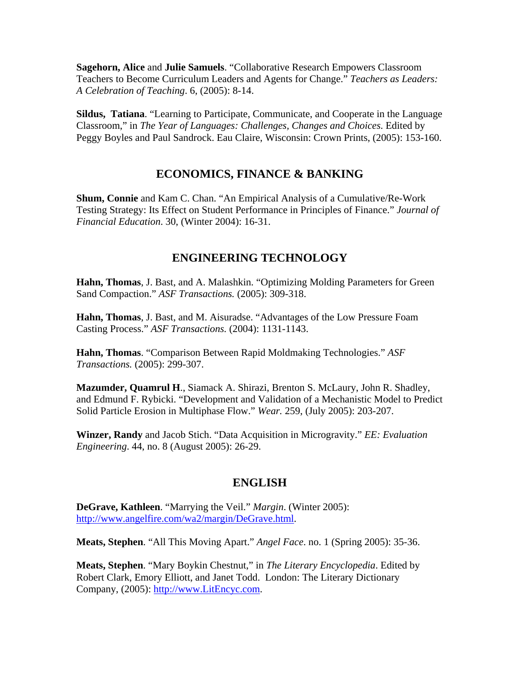**Sagehorn, Alice** and **Julie Samuels**. "Collaborative Research Empowers Classroom Teachers to Become Curriculum Leaders and Agents for Change." *Teachers as Leaders: A Celebration of Teaching*. 6, (2005): 8-14.

**Sildus, Tatiana**. "Learning to Participate, Communicate, and Cooperate in the Language Classroom," in *The Year of Languages: Challenges, Changes and Choices*. Edited by Peggy Boyles and Paul Sandrock. Eau Claire, Wisconsin: Crown Prints, (2005): 153-160.

#### **ECONOMICS, FINANCE & BANKING**

**Shum, Connie** and Kam C. Chan. "An Empirical Analysis of a Cumulative/Re-Work Testing Strategy: Its Effect on Student Performance in Principles of Finance." *Journal of Financial Education*. 30, (Winter 2004): 16-31.

#### **ENGINEERING TECHNOLOGY**

**Hahn, Thomas**, J. Bast, and A. Malashkin. "Optimizing Molding Parameters for Green Sand Compaction." *ASF Transactions.* (2005): 309-318.

**Hahn, Thomas**, J. Bast, and M. Aisuradse. "Advantages of the Low Pressure Foam Casting Process." *ASF Transactions.* (2004): 1131-1143.

**Hahn, Thomas**. "Comparison Between Rapid Moldmaking Technologies." *ASF Transactions.* (2005): 299-307.

**Mazumder, Quamrul H**., Siamack A. Shirazi, Brenton S. McLaury, John R. Shadley, and Edmund F. Rybicki. "Development and Validation of a Mechanistic Model to Predict Solid Particle Erosion in Multiphase Flow." *Wear.* 259, (July 2005): 203-207.

**Winzer, Randy** and Jacob Stich. "Data Acquisition in Microgravity." *EE: Evaluation Engineering*. 44, no. 8 (August 2005): 26-29.

#### **ENGLISH**

**DeGrave, Kathleen**. "Marrying the Veil." *Margin*. (Winter 2005): http://www.angelfire.com/wa2/margin/DeGrave.html.

**Meats, Stephen**. "All This Moving Apart." *Angel Face*. no. 1 (Spring 2005): 35-36.

**Meats, Stephen**. "Mary Boykin Chestnut," in *The Literary Encyclopedia*. Edited by Robert Clark, Emory Elliott, and Janet Todd. London: The Literary Dictionary Company, (2005): http://www.LitEncyc.com.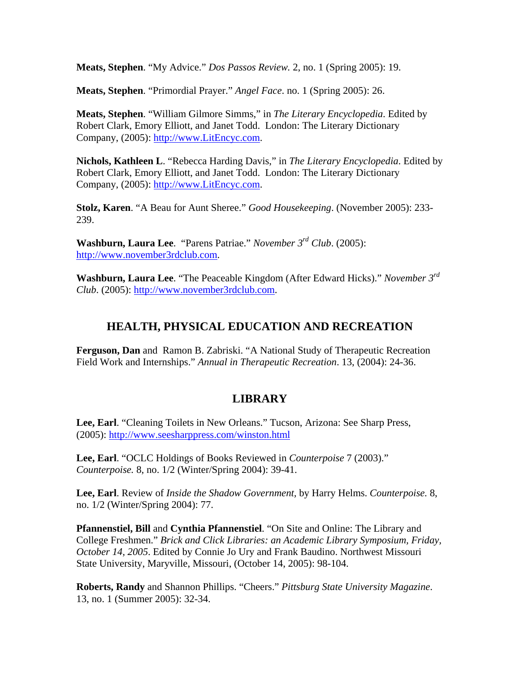**Meats, Stephen**. "My Advice." *Dos Passos Review.* 2, no. 1 (Spring 2005): 19.

**Meats, Stephen**. "Primordial Prayer." *Angel Face*. no. 1 (Spring 2005): 26.

**Meats, Stephen**. "William Gilmore Simms," in *The Literary Encyclopedia*. Edited by Robert Clark, Emory Elliott, and Janet Todd. London: The Literary Dictionary Company, (2005): http://www.LitEncyc.com.

**Nichols, Kathleen L**. "Rebecca Harding Davis," in *The Literary Encyclopedia*. Edited by Robert Clark, Emory Elliott, and Janet Todd. London: The Literary Dictionary Company, (2005): http://www.LitEncyc.com.

**Stolz, Karen**. "A Beau for Aunt Sheree." *Good Housekeeping*. (November 2005): 233- 239.

**Washburn, Laura Lee**. "Parens Patriae." *November 3rd Club*. (2005): http://www.november3rdclub.com.

**Washburn, Laura Lee**. "The Peaceable Kingdom (After Edward Hicks)." *November 3rd Club*. (2005): http://www.november3rdclub.com.

#### **HEALTH, PHYSICAL EDUCATION AND RECREATION**

**Ferguson, Dan** and Ramon B. Zabriski. "A National Study of Therapeutic Recreation Field Work and Internships." *Annual in Therapeutic Recreation*. 13, (2004): 24-36.

#### **LIBRARY**

**Lee, Earl**. "Cleaning Toilets in New Orleans." Tucson, Arizona: See Sharp Press, (2005): http://www.seesharppress.com/winston.html

**Lee, Earl**. "OCLC Holdings of Books Reviewed in *Counterpoise* 7 (2003)." *Counterpoise.* 8, no. 1/2 (Winter/Spring 2004): 39-41.

**Lee, Earl**. Review of *Inside the Shadow Government,* by Harry Helms. *Counterpoise.* 8, no. 1/2 (Winter/Spring 2004): 77.

**Pfannenstiel, Bill** and **Cynthia Pfannenstiel**. "On Site and Online: The Library and College Freshmen." *Brick and Click Libraries: an Academic Library Symposium, Friday, October 14, 2005*. Edited by Connie Jo Ury and Frank Baudino. Northwest Missouri State University, Maryville, Missouri, (October 14, 2005): 98-104.

**Roberts, Randy** and Shannon Phillips. "Cheers." *Pittsburg State University Magazine*. 13, no. 1 (Summer 2005): 32-34.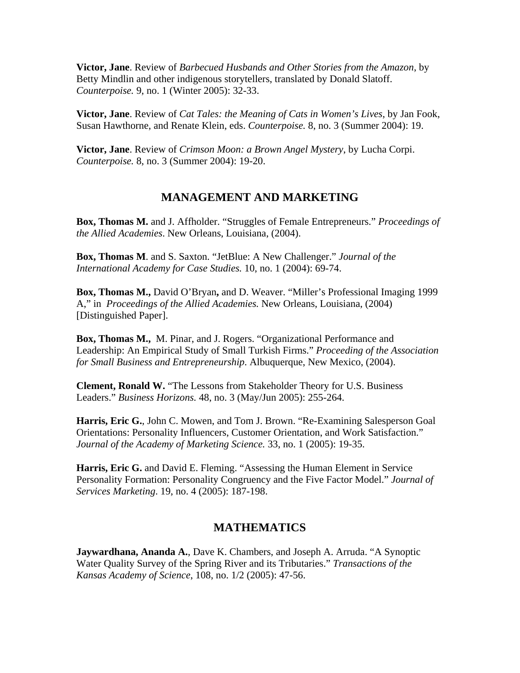**Victor, Jane**. Review of *Barbecued Husbands and Other Stories from the Amazon*, by Betty Mindlin and other indigenous storytellers, translated by Donald Slatoff. *Counterpoise.* 9, no. 1 (Winter 2005): 32-33.

**Victor, Jane**. Review of *Cat Tales: the Meaning of Cats in Women's Lives*, by Jan Fook, Susan Hawthorne, and Renate Klein, eds. *Counterpoise.* 8, no. 3 (Summer 2004): 19.

**Victor, Jane**. Review of *Crimson Moon: a Brown Angel Mystery*, by Lucha Corpi. *Counterpoise.* 8, no. 3 (Summer 2004): 19-20.

#### **MANAGEMENT AND MARKETING**

**Box, Thomas M.** and J. Affholder. "Struggles of Female Entrepreneurs." *Proceedings of the Allied Academies*. New Orleans, Louisiana, (2004).

**Box, Thomas M**. and S. Saxton. "JetBlue: A New Challenger." *Journal of the International Academy for Case Studies.* 10, no. 1 (2004): 69-74.

**Box, Thomas M.,** David O'Bryan**,** and D. Weaver. "Miller's Professional Imaging 1999 A," in *Proceedings of the Allied Academies.* New Orleans, Louisiana, (2004) [Distinguished Paper].

**Box, Thomas M.,** M. Pinar, and J. Rogers. "Organizational Performance and Leadership: An Empirical Study of Small Turkish Firms." *Proceeding of the Association for Small Business and Entrepreneurship*. Albuquerque, New Mexico, (2004).

**Clement, Ronald W.** "The Lessons from Stakeholder Theory for U.S. Business Leaders." *Business Horizons.* 48, no. 3 (May/Jun 2005): 255-264.

**Harris, Eric G.**, John C. Mowen, and Tom J. Brown. "Re-Examining Salesperson Goal Orientations: Personality Influencers, Customer Orientation, and Work Satisfaction." *Journal of the Academy of Marketing Science.* 33, no. 1 (2005): 19-35.

**Harris, Eric G.** and David E. Fleming. "Assessing the Human Element in Service Personality Formation: Personality Congruency and the Five Factor Model." *Journal of Services Marketing*. 19, no. 4 (2005): 187-198.

#### **MATHEMATICS**

**Jaywardhana, Ananda A.**, Dave K. Chambers, and Joseph A. Arruda. "A Synoptic Water Quality Survey of the Spring River and its Tributaries." *Transactions of the Kansas Academy of Science*, 108, no. 1/2 (2005): 47-56.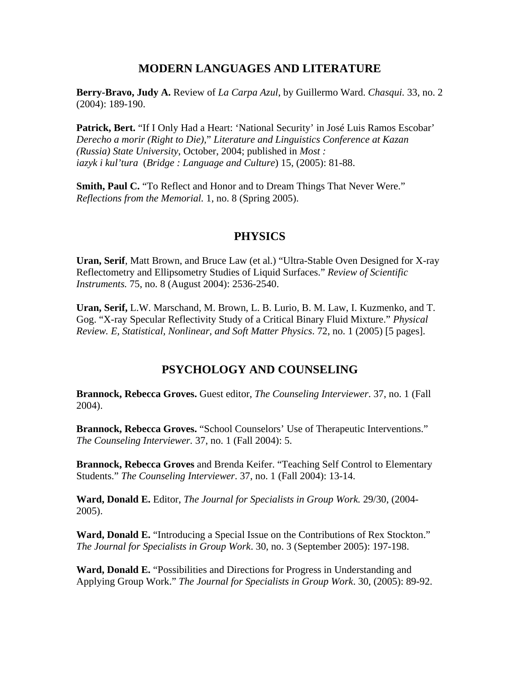#### **MODERN LANGUAGES AND LITERATURE**

**Berry-Bravo, Judy A.** Review of *La Carpa Azul*, by Guillermo Ward. *Chasqui.* 33, no. 2 (2004): 189-190.

**Patrick, Bert.** "If I Only Had a Heart: 'National Security' in José Luis Ramos Escobar' *Derecho a morir (Right to Die),*" *Literature and Linguistics Conference at Kazan (Russia) State University*, October, 2004; published in *Most : iazyk i kul'tura* (*Bridge : Language and Culture*) 15, (2005): 81-88.

**Smith, Paul C.** "To Reflect and Honor and to Dream Things That Never Were." *Reflections from the Memorial.* 1, no. 8 (Spring 2005).

#### **PHYSICS**

**Uran, Serif**, Matt Brown, and Bruce Law (et al.) "Ultra-Stable Oven Designed for X-ray Reflectometry and Ellipsometry Studies of Liquid Surfaces." *Review of Scientific Instruments.* 75, no. 8 (August 2004): 2536-2540.

**Uran, Serif,** L.W. Marschand, M. Brown, L. B. Lurio, B. M. Law, I. Kuzmenko, and T. Gog. "X-ray Specular Reflectivity Study of a Critical Binary Fluid Mixture." *Physical Review. E, Statistical, Nonlinear, and Soft Matter Physics*. 72, no. 1 (2005) [5 pages].

#### **PSYCHOLOGY AND COUNSELING**

**Brannock, Rebecca Groves.** Guest editor, *The Counseling Interviewer*. 37, no. 1 (Fall 2004).

**Brannock, Rebecca Groves.** "School Counselors' Use of Therapeutic Interventions." *The Counseling Interviewer.* 37, no. 1 (Fall 2004): 5.

**Brannock, Rebecca Groves** and Brenda Keifer. "Teaching Self Control to Elementary Students." *The Counseling Interviewer*. 37, no. 1 (Fall 2004): 13-14.

**Ward, Donald E.** Editor, *The Journal for Specialists in Group Work.* 29/30, (2004- 2005).

**Ward, Donald E.** "Introducing a Special Issue on the Contributions of Rex Stockton." *The Journal for Specialists in Group Work*. 30, no. 3 (September 2005): 197-198.

**Ward, Donald E.** "Possibilities and Directions for Progress in Understanding and Applying Group Work." *The Journal for Specialists in Group Work*. 30, (2005): 89-92.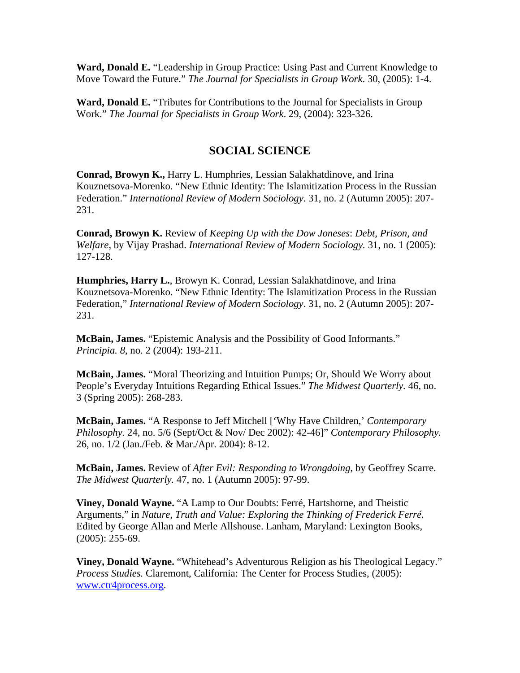**Ward, Donald E.** "Leadership in Group Practice: Using Past and Current Knowledge to Move Toward the Future." *The Journal for Specialists in Group Work*. 30, (2005): 1-4.

**Ward, Donald E.** "Tributes for Contributions to the Journal for Specialists in Group Work." *The Journal for Specialists in Group Work*. 29, (2004): 323-326.

#### **SOCIAL SCIENCE**

**Conrad, Browyn K.,** Harry L. Humphries, Lessian Salakhatdinove, and Irina Kouznetsova-Morenko. "New Ethnic Identity: The Islamitization Process in the Russian Federation." *International Review of Modern Sociology*. 31, no. 2 (Autumn 2005): 207- 231.

**Conrad, Browyn K.** Review of *Keeping Up with the Dow Joneses*: *Debt, Prison, and Welfare*, by Vijay Prashad. *International Review of Modern Sociology.* 31, no. 1 (2005): 127-128.

**Humphries, Harry L.**, Browyn K. Conrad, Lessian Salakhatdinove, and Irina Kouznetsova-Morenko. "New Ethnic Identity: The Islamitization Process in the Russian Federation," *International Review of Modern Sociology*. 31, no. 2 (Autumn 2005): 207- 231.

**McBain, James.** "Epistemic Analysis and the Possibility of Good Informants." *Principia. 8*, no. 2 (2004): 193-211.

**McBain, James.** "Moral Theorizing and Intuition Pumps; Or, Should We Worry about People's Everyday Intuitions Regarding Ethical Issues." *The Midwest Quarterly.* 46, no. 3 (Spring 2005): 268-283.

**McBain, James.** "A Response to Jeff Mitchell ['Why Have Children,' *Contemporary Philosophy.* 24, no. 5/6 (Sept/Oct & Nov/ Dec 2002): 42-46]" *Contemporary Philosophy.* 26, no. 1/2 (Jan./Feb. & Mar./Apr. 2004): 8-12.

**McBain, James.** Review of *After Evil: Responding to Wrongdoing,* by Geoffrey Scarre. *The Midwest Quarterly.* 47, no. 1 (Autumn 2005): 97-99.

**Viney, Donald Wayne.** "A Lamp to Our Doubts: Ferré, Hartshorne, and Theistic Arguments," in *Nature, Truth and Value: Exploring the Thinking of Frederick Ferré*. Edited by George Allan and Merle Allshouse. Lanham, Maryland: Lexington Books, (2005): 255-69.

**Viney, Donald Wayne.** "Whitehead's Adventurous Religion as his Theological Legacy." *Process Studies.* Claremont, California: The Center for Process Studies, (2005): www.ctr4process.org.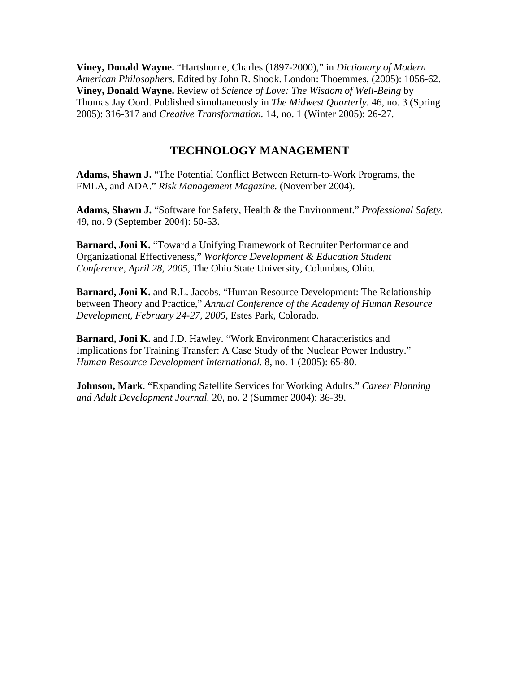**Viney, Donald Wayne.** "Hartshorne, Charles (1897-2000)," in *Dictionary of Modern American Philosophers*. Edited by John R. Shook. London: Thoemmes, (2005): 1056-62. **Viney, Donald Wayne.** Review of *Science of Love: The Wisdom of Well-Being* by Thomas Jay Oord. Published simultaneously in *The Midwest Quarterly.* 46, no. 3 (Spring 2005): 316-317 and *Creative Transformation.* 14, no. 1 (Winter 2005): 26-27.

#### **TECHNOLOGY MANAGEMENT**

**Adams, Shawn J.** "The Potential Conflict Between Return-to-Work Programs, the FMLA, and ADA." *Risk Management Magazine.* (November 2004).

**Adams, Shawn J.** "Software for Safety, Health & the Environment." *Professional Safety.* 49, no. 9 (September 2004): 50-53.

**Barnard, Joni K.** "Toward a Unifying Framework of Recruiter Performance and Organizational Effectiveness," *Workforce Development & Education Student Conference, April 28, 2005*, The Ohio State University, Columbus, Ohio.

**Barnard, Joni K.** and R.L. Jacobs. "Human Resource Development: The Relationship between Theory and Practice," *Annual Conference of the Academy of Human Resource Development, February 24-27, 2005*, Estes Park, Colorado.

**Barnard, Joni K.** and J.D. Hawley. "Work Environment Characteristics and Implications for Training Transfer: A Case Study of the Nuclear Power Industry." *Human Resource Development International.* 8, no. 1 (2005): 65-80.

**Johnson, Mark**. "Expanding Satellite Services for Working Adults." *Career Planning and Adult Development Journal.* 20, no. 2 (Summer 2004): 36-39.